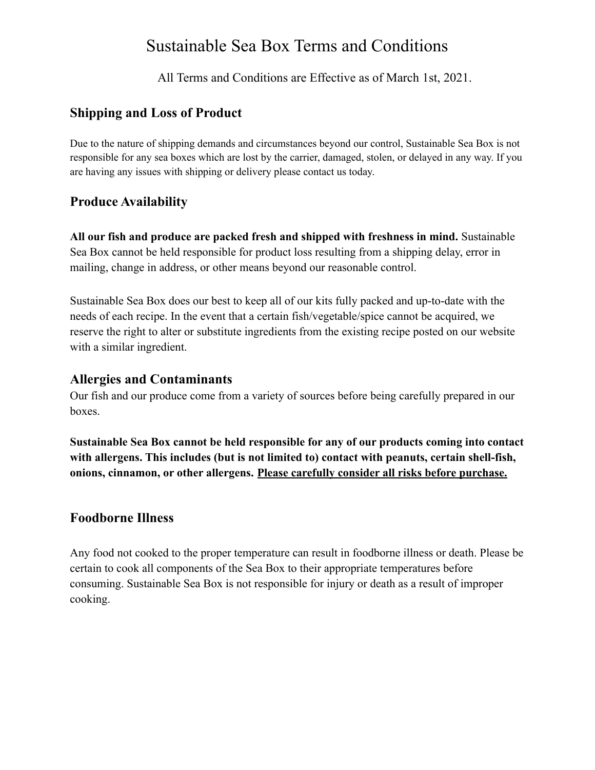## Sustainable Sea Box Terms and Conditions

All Terms and Conditions are Effective as of March 1st, 2021.

## **Shipping and Loss of Product**

Due to the nature of shipping demands and circumstances beyond our control, Sustainable Sea Box is not responsible for any sea boxes which are lost by the carrier, damaged, stolen, or delayed in any way. If you are having any issues with shipping or delivery please contact us today.

## **Produce Availability**

**All our fish and produce are packed fresh and shipped with freshness in mind.** Sustainable Sea Box cannot be held responsible for product loss resulting from a shipping delay, error in mailing, change in address, or other means beyond our reasonable control.

Sustainable Sea Box does our best to keep all of our kits fully packed and up-to-date with the needs of each recipe. In the event that a certain fish/vegetable/spice cannot be acquired, we reserve the right to alter or substitute ingredients from the existing recipe posted on our website with a similar ingredient.

#### **Allergies and Contaminants**

Our fish and our produce come from a variety of sources before being carefully prepared in our boxes.

**Sustainable Sea Box cannot be held responsible for any of our products coming into contact with allergens. This includes (but is not limited to) contact with peanuts, certain shell-fish, onions, cinnamon, or other allergens. Please carefully consider all risks before purchase.**

#### **Foodborne Illness**

Any food not cooked to the proper temperature can result in foodborne illness or death. Please be certain to cook all components of the Sea Box to their appropriate temperatures before consuming. Sustainable Sea Box is not responsible for injury or death as a result of improper cooking.